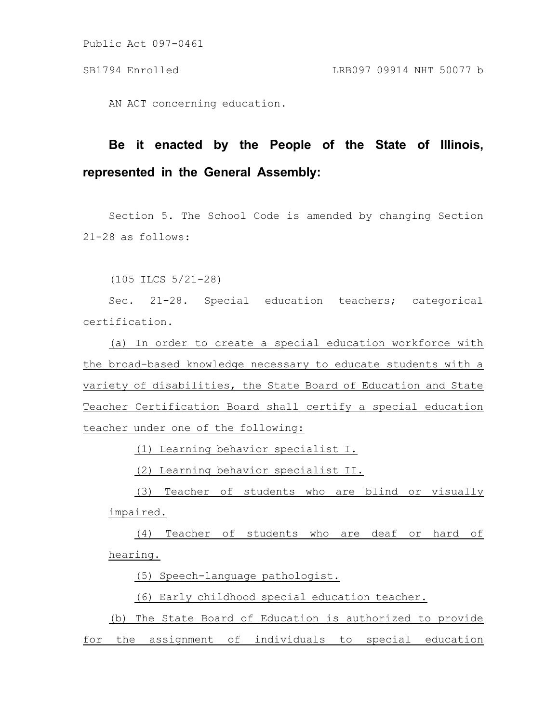Public Act 097-0461

AN ACT concerning education.

## **Be it enacted by the People of the State of Illinois, represented in the General Assembly:**

Section 5. The School Code is amended by changing Section 21-28 as follows:

(105 ILCS 5/21-28)

Sec. 21-28. Special education teachers; eategorical certification.

(a) In order to create a special education workforce with the broad-based knowledge necessary to educate students with a variety of disabilities, the State Board of Education and State Teacher Certification Board shall certify a special education teacher under one of the following:

(1) Learning behavior specialist I.

(2) Learning behavior specialist II.

(3) Teacher of students who are blind or visually impaired.

(4) Teacher of students who are deaf or hard of hearing.

(5) Speech-language pathologist.

(6) Early childhood special education teacher.

(b) The State Board of Education is authorized to provide for the assignment of individuals to special education